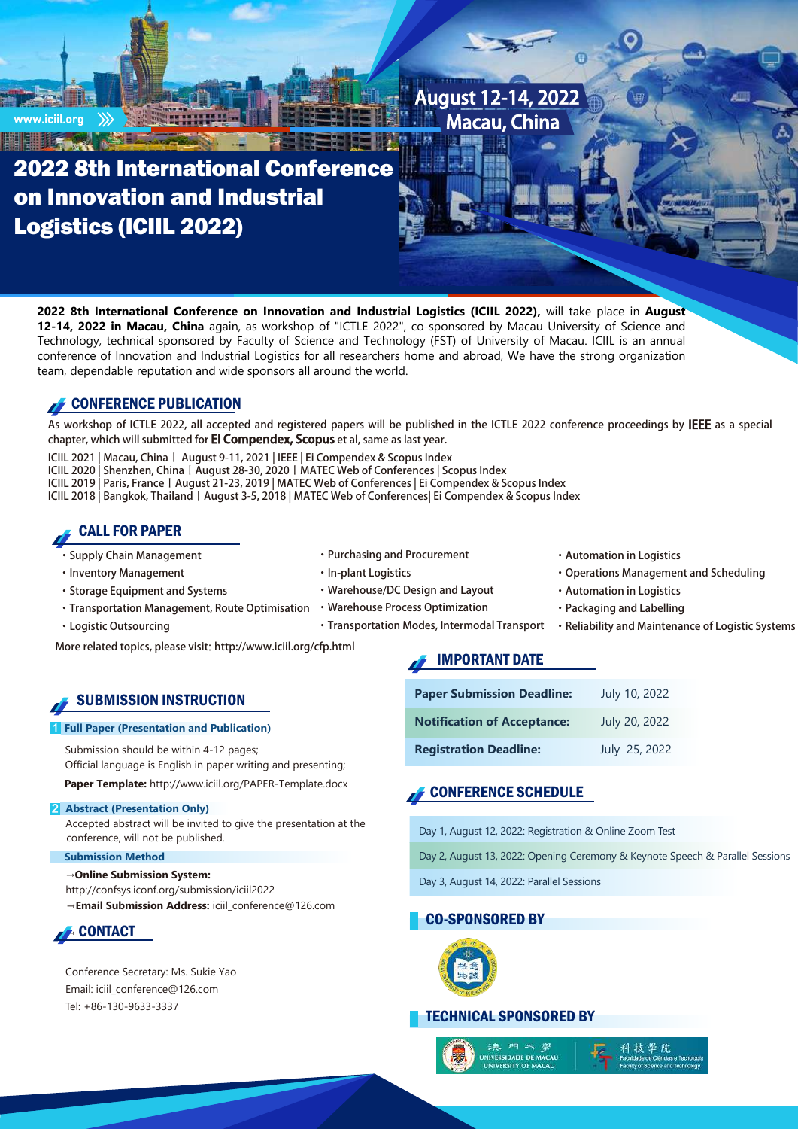

**2022 8th International Conference on Innovation and Industrial Logistics (ICIIL 2022),** will take place in **August 12-14, 2022 in Macau, China** again, as workshop of "ICTLE 2022", co-sponsored by Macau University of Science and Technology, technical sponsored by Faculty of Science and Technology (FST) of University of Macau. ICIIL is an annual conference of Innovation and Industrial Logistics for all researchers home and abroad, We have the strong organization team, dependable reputation and wide sponsors all around the world.

## CONFERENCE PUBLICATION

As workshop of ICTLE 2022, all accepted and registered papers will be published in the ICTLE 2022 conference proceedings by IEEE as a special chapter, which will submitted for **EI Compendex, Scopus** et al, same as last year.

ICIIL 2021 | Macau, China丨 August 9-11, 2021 | IEEE | Ei Compendex & Scopus Index

ICIIL 2020 | Shenzhen, China丨August 28-30, 2020丨MATEC Web of Conferences | Scopus Index

ICIIL 2019 | Paris, France | August 21-23, 2019 | MATEC Web of Conferences | Ei Compendex & Scopus Index

ICIIL 2018 | Bangkok, Thailand丨August 3-5, 2018 | MATEC Web of Conferences| Ei Compendex & Scopus Index

### CALL FOR PAPER

- ·Supply Chain Management
- ·Inventory Management
- ·Storage Equipment and Systems
- Transportation Management, Route Optimisation Warehouse Process Optimization
- ·Logistic Outsourcing
- ·Purchasing and Procurement ·In-plant Logistics
- ·Warehouse/DC Design and Layout
- -
- ·Automation in Logistics
	- ·Packaging and Labelling

·Automation in Logistics

·Operations Management and Scheduling

·Transportation Modes, Intermodal Transport ·Reliability and Maintenance of Logistic Systems

More related topics, please visit: http://www.iciil.org/cfp.html

### SUBMISSION INSTRUCTION

#### **Full Paper (Presentation and Publication)**

Submission should be within 4-12 pages; Official language is English in paper writing and presenting; **Paper Template:** <http://www.iciil.org/PAPER-Template.docx>

**2** Abstract (Presentation Only) Accepted abstract will be invited to give the presentation at the conference, will not be published.

#### **Submission Method**

→**Online Submission System:** http://confsys.iconf.org/submission/iciil2022 →**Email Submission Address:** iciil\_conference@126.com



Conference Secretary: Ms. Sukie Yao Email: iciil\_conference@126.com Tel: +86-130-9633-3337

# IMPORTANT DATE

| <b>Paper Submission Deadline:</b>  | July 10, 2022 |
|------------------------------------|---------------|
| <b>Notification of Acceptance:</b> | July 20, 2022 |
| <b>Registration Deadline:</b>      | July 25, 2022 |

### CONFERENCE SCHEDULE

Day 1, August 12, 2022: Registration & Online Zoom Test

Day 2, August 13, 2022: Opening Ceremony & Keynote Speech & Parallel Sessions

Day 3, August 14, 2022: Parallel Sessions

### CO-SPONSORED BY



### TECHNICAL SPONSORED BY

ERSIDADE DE MACAL<br>IVERSITY OF MACAU